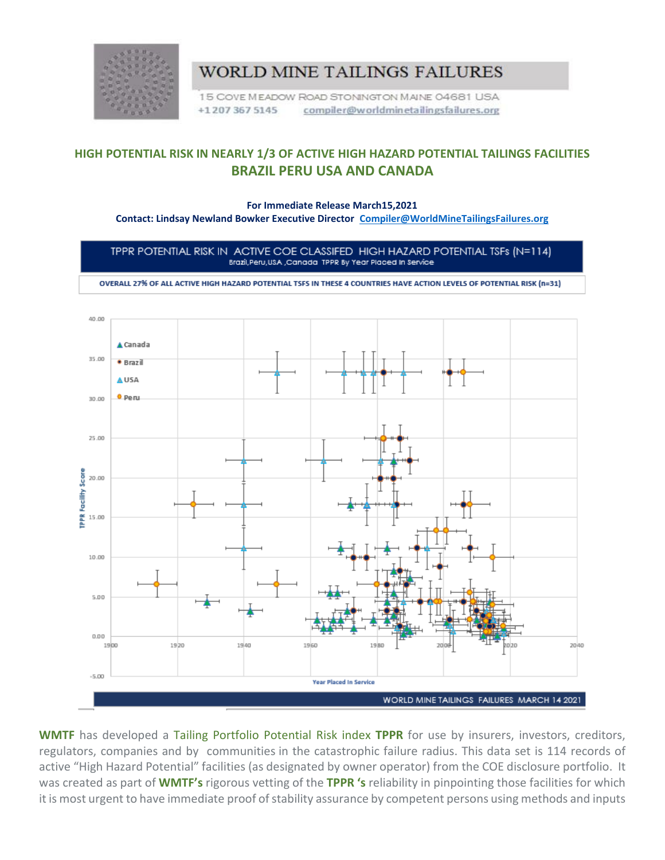

## WORLD MINE TAILINGS FAILURES

15 COVE MEADOW ROAD STONINGTON MAINE 04681 USA +12073675145 compiler@worldminetailingsfailures.org

## **HIGH POTENTIAL RISK IN NEARLY 1/3 OF ACTIVE HIGH HAZARD POTENTIAL TAILINGS FACILITIES BRAZIL PERU USA AND CANADA**

## **For Immediate Release March15,2021**

**Contact: Lindsay Newland Bowker Executive Director [Compiler@WorldMineTailingsFailures.org](mailto:Compiler@WorldMineTailingsFailures.org)**

TPPR POTENTIAL RISK IN ACTIVE COE CLASSIFED HIGH HAZARD POTENTIAL TSFs (N=114) Brazil, Peru, USA, Canada TPPR By Year Placed In Service

OVERALL 27% OF ALL ACTIVE HIGH HAZARD POTENTIAL TSFS IN THESE 4 COUNTRIES HAVE ACTION LEVELS OF POTENTIAL RISK (n=31)



**WMTF** has developed a Tailing Portfolio Potential Risk index **TPPR** for use by insurers, investors, creditors, regulators, companies and by communities in the catastrophic failure radius. This data set is 114 records of active "High Hazard Potential" facilities (as designated by owner operator) from the COE disclosure portfolio. It was created as part of **WMTF's** rigorous vetting of the **TPPR 's** reliability in pinpointing those facilities for which it is most urgent to have immediate proof of stability assurance by competent persons using methods and inputs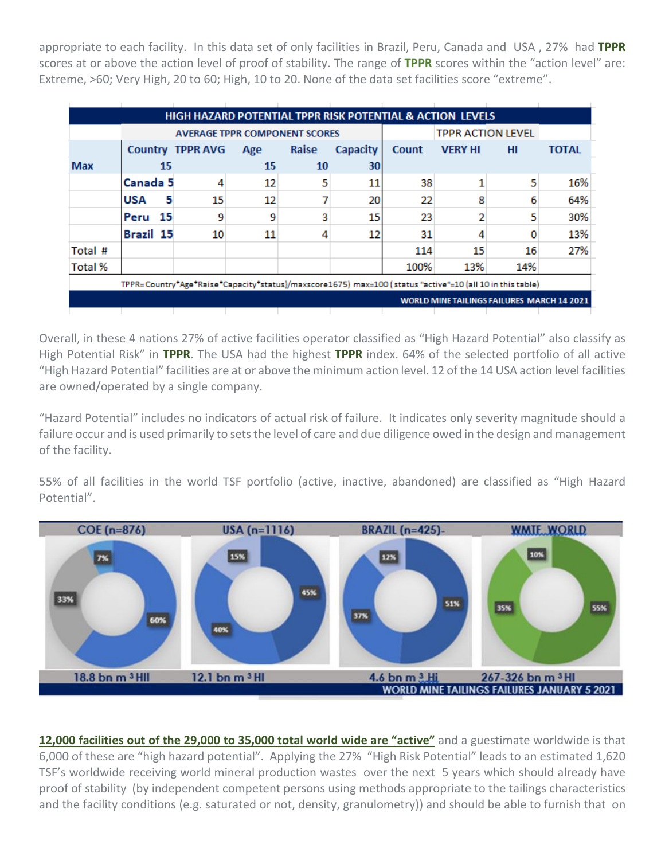appropriate to each facility. In this data set of only facilities in Brazil, Peru, Canada and USA , 27% had **TPPR** scores at or above the action level of proof of stability. The range of **TPPR** scores within the "action level" are: Extreme, >60; Very High, 20 to 60; High, 10 to 20. None of the data set facilities score "extreme".

| <b>HIGH HAZARD POTENTIAL TPPR RISK POTENTIAL &amp; ACTION LEVELS</b>                                     |                 |                                      |                          |       |                 |       |                |     |              |
|----------------------------------------------------------------------------------------------------------|-----------------|--------------------------------------|--------------------------|-------|-----------------|-------|----------------|-----|--------------|
|                                                                                                          |                 | <b>AVERAGE TPPR COMPONENT SCORES</b> | <b>TPPR ACTION LEVEL</b> |       |                 |       |                |     |              |
|                                                                                                          |                 | <b>Country TPPR AVG</b>              | Age                      | Raise | <b>Capacity</b> | Count | <b>VERY HI</b> | HI  | <b>TOTAL</b> |
| <b>Max</b>                                                                                               | 15              |                                      | 15                       | 10    | 30              |       |                |     |              |
|                                                                                                          | Canada 5        | 4                                    | 12                       | 5     | 11              | 38    |                | 5   | 16%          |
|                                                                                                          | 5<br><b>USA</b> | 15                                   | 12                       |       | 20              | 22    | 8              | 6   | 64%          |
|                                                                                                          | Peru 15         | 9                                    | 9                        | 3     | 15              | 23    |                | 5   | 30%          |
|                                                                                                          | Brazil 15       | 10                                   | 11                       | 4     | 12              | 31    | 4              | o   | 13%          |
| Total #                                                                                                  |                 |                                      |                          |       |                 | 114   | 15             | 16  | 27%          |
| <b>Total %</b>                                                                                           |                 |                                      |                          |       |                 | 100%  | 13%            | 14% |              |
| TPPR=Country*Age*Raise*Capacity*status)/maxscore1675) max=100 (status "active"=10 (all 10 in this table) |                 |                                      |                          |       |                 |       |                |     |              |
| <b>WORLD MINE TAILINGS FAILURES MARCH 14 2021</b>                                                        |                 |                                      |                          |       |                 |       |                |     |              |
|                                                                                                          |                 |                                      |                          |       |                 |       |                |     |              |

Overall, in these 4 nations 27% of active facilities operator classified as "High Hazard Potential" also classify as High Potential Risk" in **TPPR**. The USA had the highest **TPPR** index. 64% of the selected portfolio of all active "High Hazard Potential" facilities are at or above the minimum action level. 12 of the 14 USA action level facilities are owned/operated by a single company.

"Hazard Potential" includes no indicators of actual risk of failure. It indicates only severity magnitude should a failure occur and is used primarily to sets the level of care and due diligence owed in the design and management of the facility.

55% of all facilities in the world TSF portfolio (active, inactive, abandoned) are classified as "High Hazard Potential".



**12,000 [facilities](https://worldminetailingsfailures.org/1529-2/) out of the 29,000 to 35,000 total world wide are "active"** and a guestimate worldwide is that 6,000 of these are "high hazard potential". Applying the 27% "High Risk Potential" leads to an estimated 1,620 TSF's worldwide receiving world mineral production wastes over the next 5 years which should already have proof of stability (by independent competent persons using methods appropriate to the tailings characteristics and the facility conditions (e.g. saturated or not, density, granulometry)) and should be able to furnish that on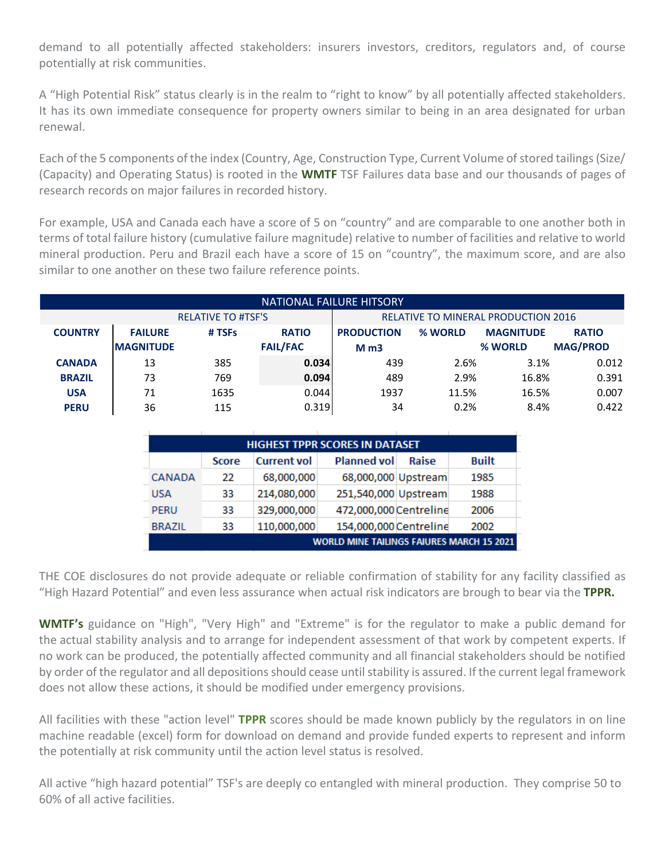demand to all potentially affected stakeholders: insurers investors, creditors, regulators and, of course potentially at risk communities.

A "High Potential Risk" status clearly is in the realm to "right to know" by all potentially affected stakeholders. It has its own immediate consequence for property owners similar to being in an area designated for urban renewal.

Each of the 5 components of the index (Country, Age, Construction Type, Current Volume of stored tailings (Size/ (Capacity) and Operating Status) is rooted in the **WMTF** TSF Failures data base and our thousands of pages of research records on major failures in recorded history.

For example, USA and Canada each have a score of 5 on "country" and are comparable to one another both in terms of total failure history (cumulative failure magnitude) relative to number of facilities and relative to world mineral production. Peru and Brazil each have a score of 15 on "country", the maximum score, and are also similar to one another on these two failure reference points.

| NATIONAL FAILURE HITSORY |                           |        |                 |                   |                                     |                  |                 |  |  |
|--------------------------|---------------------------|--------|-----------------|-------------------|-------------------------------------|------------------|-----------------|--|--|
|                          | <b>RELATIVE TO #TSF'S</b> |        |                 |                   | RELATIVE TO MINERAL PRODUCTION 2016 |                  |                 |  |  |
| <b>COUNTRY</b>           | <b>FAILURE</b>            | # TSFs | <b>RATIO</b>    | <b>PRODUCTION</b> | % WORLD                             | <b>MAGNITUDE</b> | <b>RATIO</b>    |  |  |
|                          | <b>MAGNITUDE</b>          |        | <b>FAIL/FAC</b> | M <sub>m3</sub>   |                                     | % WORLD          | <b>MAG/PROD</b> |  |  |
| <b>CANADA</b>            | 13                        | 385    | 0.034           | 439               | 2.6%                                | 3.1%             | 0.012           |  |  |
| <b>BRAZIL</b>            | 73                        | 769    | 0.094           | 489               | 2.9%                                | 16.8%            | 0.391           |  |  |
| <b>USA</b>               | 71                        | 1635   | 0.044           | 1937              | 11.5%                               | 16.5%            | 0.007           |  |  |
| <b>PERU</b>              | 36                        | 115    | 0.319           | 34                | 0.2%                                | 8.4%             | 0.422           |  |  |

| <b>HIGHEST TPPR SCORES IN DATASET</b>            |              |                    |                        |       |              |  |  |  |
|--------------------------------------------------|--------------|--------------------|------------------------|-------|--------------|--|--|--|
|                                                  | <b>Score</b> | <b>Current vol</b> | <b>Planned vol</b>     | Raise | <b>Built</b> |  |  |  |
| CANADA                                           | 22           | 68,000,000         | 68,000,000 Upstream    |       | 1985         |  |  |  |
| <b>USA</b>                                       | 33           | 214,080,000        | 251,540,000 Upstream   |       | 1988         |  |  |  |
| PERU                                             | 33           | 329,000,000        | 472,000,000 Centreline |       | 2006         |  |  |  |
| <b>BRAZIL</b>                                    | 33           | 110,000,000        | 154,000,000 Centreline |       | 2002         |  |  |  |
| <b>WORLD MINE TAILINGS FAIURES MARCH 15 2021</b> |              |                    |                        |       |              |  |  |  |

THE COE disclosures do not provide adequate or reliable confirmation of stability for any facility classified as "High Hazard Potential" and even less assurance when actual risk indicators are brough to bear via the **TPPR.**

**WMTF's** guidance on "High", "Very High" and "Extreme" is for the regulator to make a public demand for the actual stability analysis and to arrange for independent assessment of that work by competent experts. If no work can be produced, the potentially affected community and all financial stakeholders should be notified by order of the regulator and all depositions should cease until stability is assured. If the current legal framework does not allow these actions, it should be modified under emergency provisions.

All facilities with these "action level" **TPPR** scores should be made known publicly by the regulators in on line machine readable (excel) form for download on demand and provide funded experts to represent and inform the potentially at risk community until the action level status is resolved.

All active "high hazard potential" TSF's are deeply co entangled with mineral production. They comprise 50 to 60% of all active facilities.